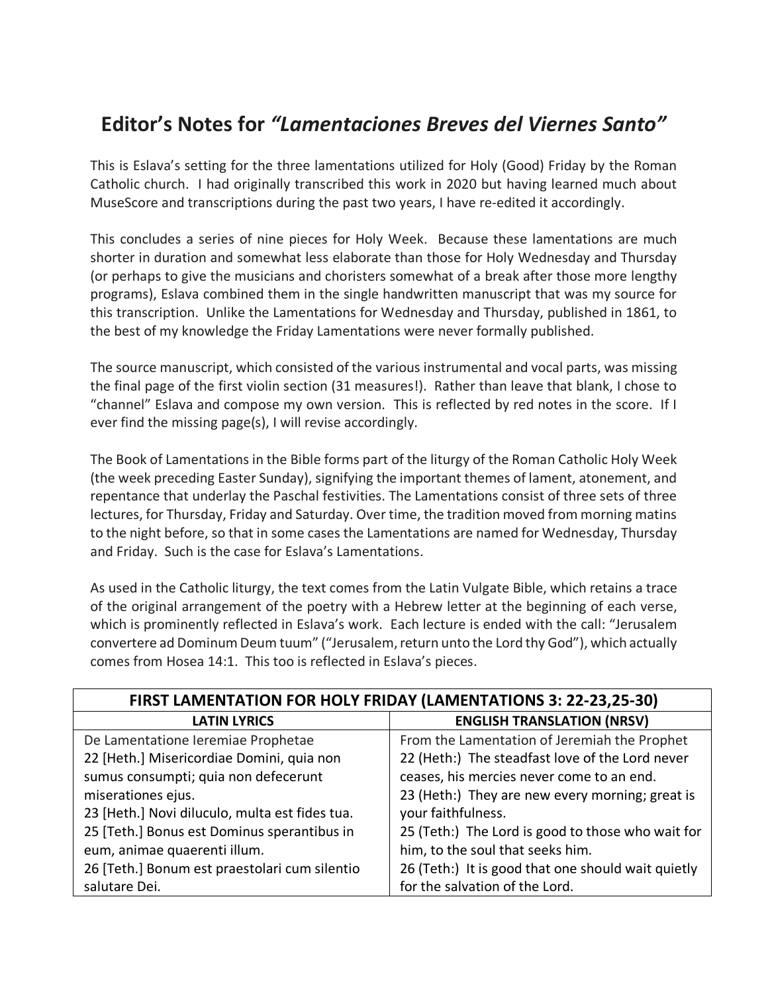## **Editor's Notes for** *"Lamentaciones Breves del Viernes Santo"*

This is Eslava's setting for the three lamentations utilized for Holy (Good) Friday by the Roman Catholic church. I had originally transcribed this work in 2020 but having learned much about MuseScore and transcriptions during the past two years, I have re-edited it accordingly.

This concludes a series of nine pieces for Holy Week. Because these lamentations are much shorter in duration and somewhat less elaborate than those for Holy Wednesday and Thursday (or perhaps to give the musicians and choristers somewhat of a break after those more lengthy programs), Eslava combined them in the single handwritten manuscript that was my source for this transcription. Unlike the Lamentations for Wednesday and Thursday, published in 1861, to the best of my knowledge the Friday Lamentations were never formally published.

The source manuscript, which consisted of the various instrumental and vocal parts, was missing the final page of the first violin section (31 measures!). Rather than leave that blank, I chose to "channel" Eslava and compose my own version. This is reflected by red notes in the score. If I ever find the missing page(s), I will revise accordingly.

The Book of Lamentations in the Bible forms part of the liturgy of the Roman Catholic Holy Week (the week preceding Easter Sunday), signifying the important themes of lament, atonement, and repentance that underlay the Paschal festivities. The Lamentations consist of three sets of three lectures, for Thursday, Friday and Saturday. Over time, the tradition moved from morning matins to the night before, so that in some cases the Lamentations are named for Wednesday, Thursday and Friday. Such is the case for Eslava's Lamentations.

As used in the Catholic liturgy, the text comes from the Latin Vulgate Bible, which retains a trace of the original arrangement of the poetry with a Hebrew letter at the beginning of each verse, which is prominently reflected in Eslava's work. Each lecture is ended with the call: "Jerusalem convertere ad Dominum Deum tuum" ("Jerusalem, return unto the Lord thy God"), which actually comes from Hosea 14:1. This too is reflected in Eslava's pieces.

| FIRST LAMENTATION FOR HOLY FRIDAY (LAMENTATIONS 3: 22-23,25-30) |                                                    |
|-----------------------------------------------------------------|----------------------------------------------------|
| <b>LATIN LYRICS</b>                                             | <b>ENGLISH TRANSLATION (NRSV)</b>                  |
| De Lamentatione Ieremiae Prophetae                              | From the Lamentation of Jeremiah the Prophet       |
| 22 [Heth.] Misericordiae Domini, quia non                       | 22 (Heth:) The steadfast love of the Lord never    |
| sumus consumpti; quia non defecerunt                            | ceases, his mercies never come to an end.          |
| miserationes ejus.                                              | 23 (Heth:) They are new every morning; great is    |
| 23 [Heth.] Novi diluculo, multa est fides tua.                  | your faithfulness.                                 |
| 25 [Teth.] Bonus est Dominus sperantibus in                     | 25 (Teth:) The Lord is good to those who wait for  |
| eum, animae quaerenti illum.                                    | him, to the soul that seeks him.                   |
| 26 [Teth.] Bonum est praestolari cum silentio                   | 26 (Teth:) It is good that one should wait quietly |
| salutare Dei.                                                   | for the salvation of the Lord.                     |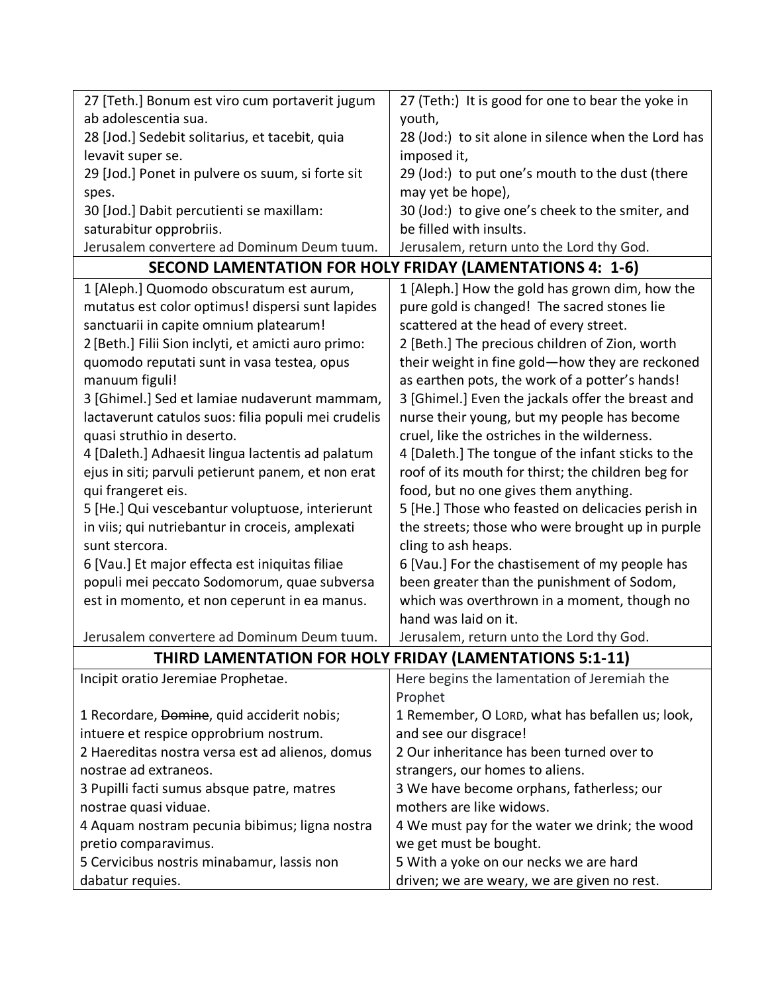| 27 [Teth.] Bonum est viro cum portaverit jugum           | 27 (Teth:) It is good for one to bear the yoke in   |  |
|----------------------------------------------------------|-----------------------------------------------------|--|
| ab adolescentia sua.                                     | youth,                                              |  |
| 28 [Jod.] Sedebit solitarius, et tacebit, quia           | 28 (Jod:) to sit alone in silence when the Lord has |  |
| levavit super se.                                        | imposed it,                                         |  |
| 29 [Jod.] Ponet in pulvere os suum, si forte sit         | 29 (Jod:) to put one's mouth to the dust (there     |  |
| spes.                                                    | may yet be hope),                                   |  |
| 30 [Jod.] Dabit percutienti se maxillam:                 | 30 (Jod:) to give one's cheek to the smiter, and    |  |
| saturabitur opprobriis.                                  | be filled with insults.                             |  |
| Jerusalem convertere ad Dominum Deum tuum.               | Jerusalem, return unto the Lord thy God.            |  |
| SECOND LAMENTATION FOR HOLY FRIDAY (LAMENTATIONS 4: 1-6) |                                                     |  |
| 1 [Aleph.] Quomodo obscuratum est aurum,                 | 1 [Aleph.] How the gold has grown dim, how the      |  |
| mutatus est color optimus! dispersi sunt lapides         | pure gold is changed! The sacred stones lie         |  |
| sanctuarii in capite omnium platearum!                   | scattered at the head of every street.              |  |
| 2 [Beth.] Filii Sion inclyti, et amicti auro primo:      | 2 [Beth.] The precious children of Zion, worth      |  |
| quomodo reputati sunt in vasa testea, opus               | their weight in fine gold-how they are reckoned     |  |
| manuum figuli!                                           | as earthen pots, the work of a potter's hands!      |  |
| 3 [Ghimel.] Sed et lamiae nudaverunt mammam,             | 3 [Ghimel.] Even the jackals offer the breast and   |  |
| lactaverunt catulos suos: filia populi mei crudelis      | nurse their young, but my people has become         |  |
| quasi struthio in deserto.                               | cruel, like the ostriches in the wilderness.        |  |
| 4 [Daleth.] Adhaesit lingua lactentis ad palatum         | 4 [Daleth.] The tongue of the infant sticks to the  |  |
| ejus in siti; parvuli petierunt panem, et non erat       | roof of its mouth for thirst; the children beg for  |  |
| qui frangeret eis.                                       | food, but no one gives them anything.               |  |
| 5 [He.] Qui vescebantur voluptuose, interierunt          | 5 [He.] Those who feasted on delicacies perish in   |  |
| in viis; qui nutriebantur in croceis, amplexati          | the streets; those who were brought up in purple    |  |
| sunt stercora.                                           | cling to ash heaps.                                 |  |
| 6 [Vau.] Et major effecta est iniquitas filiae           | 6 [Vau.] For the chastisement of my people has      |  |
| populi mei peccato Sodomorum, quae subversa              | been greater than the punishment of Sodom,          |  |
| est in momento, et non ceperunt in ea manus.             | which was overthrown in a moment, though no         |  |
|                                                          | hand was laid on it.                                |  |
| Jerusalem convertere ad Dominum Deum tuum.               | Jerusalem, return unto the Lord thy God.            |  |
| THIRD LAMENTATION FOR HOLY FRIDAY (LAMENTATIONS 5:1-11)  |                                                     |  |
| Incipit oratio Jeremiae Prophetae.                       | Here begins the lamentation of Jeremiah the         |  |
|                                                          | Prophet                                             |  |
| 1 Recordare, Domine, quid acciderit nobis;               | 1 Remember, O LORD, what has befallen us; look,     |  |
| intuere et respice opprobrium nostrum.                   | and see our disgrace!                               |  |
| 2 Haereditas nostra versa est ad alienos, domus          | 2 Our inheritance has been turned over to           |  |
| nostrae ad extraneos.                                    | strangers, our homes to aliens.                     |  |
| 3 Pupilli facti sumus absque patre, matres               | 3 We have become orphans, fatherless; our           |  |
| nostrae quasi viduae.                                    | mothers are like widows.                            |  |
| 4 Aquam nostram pecunia bibimus; ligna nostra            | 4 We must pay for the water we drink; the wood      |  |
| pretio comparavimus.                                     | we get must be bought.                              |  |
| 5 Cervicibus nostris minabamur, lassis non               | 5 With a yoke on our necks we are hard              |  |
| dabatur requies.                                         | driven; we are weary, we are given no rest.         |  |